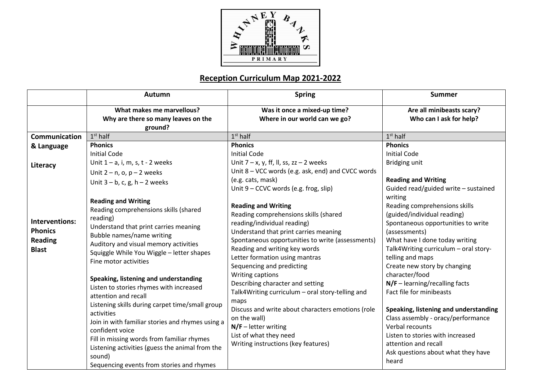

## **Reception Curriculum Map 2021-2022**

|                      | Autumn                                           | <b>Spring</b>                                             | <b>Summer</b>                                                               |
|----------------------|--------------------------------------------------|-----------------------------------------------------------|-----------------------------------------------------------------------------|
|                      | What makes me marvellous?                        | Was it once a mixed-up time?                              | Are all minibeasts scary?                                                   |
|                      | Why are there so many leaves on the              | Where in our world can we go?                             | Who can I ask for help?                                                     |
| <b>Communication</b> | ground?<br>$1st$ half                            | $1st$ half                                                | $1st$ half                                                                  |
|                      | <b>Phonics</b>                                   | <b>Phonics</b>                                            | <b>Phonics</b>                                                              |
| & Language           | <b>Initial Code</b>                              | <b>Initial Code</b>                                       | <b>Initial Code</b>                                                         |
|                      | Unit $1 - a$ , i, m, s, t - 2 weeks              | Unit $7 - x$ , y, ff, ll, ss, zz - 2 weeks                | Bridging unit                                                               |
| Literacy             | Unit $2 - n$ , o, $p - 2$ weeks                  | Unit 8 - VCC words (e.g. ask, end) and CVCC words         |                                                                             |
|                      | Unit $3 - b$ , c, g, h $- 2$ weeks               | (e.g. cats, mask)                                         | <b>Reading and Writing</b>                                                  |
|                      |                                                  | Unit 9 - CCVC words (e.g. frog, slip)                     | Guided read/guided write - sustained                                        |
|                      | <b>Reading and Writing</b>                       |                                                           | writing                                                                     |
|                      | Reading comprehensions skills (shared            | <b>Reading and Writing</b>                                | Reading comprehensions skills                                               |
|                      | reading)                                         | Reading comprehensions skills (shared                     | (guided/individual reading)                                                 |
| Interventions:       | Understand that print carries meaning            | reading/individual reading)                               | Spontaneous opportunities to write                                          |
| <b>Phonics</b>       | Bubble names/name writing                        | Understand that print carries meaning                     | (assessments)                                                               |
| <b>Reading</b>       | Auditory and visual memory activities            | Spontaneous opportunities to write (assessments)          | What have I done today writing                                              |
| <b>Blast</b>         | Squiggle While You Wiggle - letter shapes        | Reading and writing key words                             | Talk4Writing curriculum - oral story-                                       |
|                      | Fine motor activities                            | Letter formation using mantras                            | telling and maps                                                            |
|                      |                                                  | Sequencing and predicting                                 | Create new story by changing                                                |
|                      | Speaking, listening and understanding            | Writing captions                                          | character/food                                                              |
|                      | Listen to stories rhymes with increased          | Describing character and setting                          | $N/F$ – learning/recalling facts                                            |
|                      | attention and recall                             | Talk4Writing curriculum - oral story-telling and          | Fact file for minibeasts                                                    |
|                      | Listening skills during carpet time/small group  | maps<br>Discuss and write about characters emotions (role |                                                                             |
|                      | activities                                       | on the wall)                                              | Speaking, listening and understanding<br>Class assembly - oracy/performance |
|                      | Join in with familiar stories and rhymes using a | $N/F$ – letter writing                                    | Verbal recounts                                                             |
|                      | confident voice                                  | List of what they need                                    | Listen to stories with increased                                            |
|                      | Fill in missing words from familiar rhymes       | Writing instructions (key features)                       | attention and recall                                                        |
|                      | Listening activities (guess the animal from the  |                                                           | Ask questions about what they have                                          |
|                      | sound)                                           |                                                           | heard                                                                       |
|                      | Sequencing events from stories and rhymes        |                                                           |                                                                             |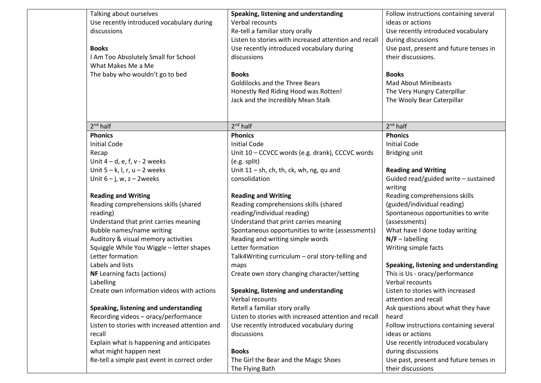| Talking about ourselves<br>Use recently introduced vocabulary during<br>discussions<br><b>Books</b><br>I Am Too Absolutely Small for School<br>What Makes Me a Me<br>The baby who wouldn't go to bed                                                                                                                                                                               | Speaking, listening and understanding<br>Verbal recounts<br>Re-tell a familiar story orally<br>Listen to stories with increased attention and recall<br>Use recently introduced vocabulary during<br>discussions<br><b>Books</b><br><b>Goldilocks and the Three Bears</b><br>Honestly Red Riding Hood was Rotten!<br>Jack and the Incredibly Mean Stalk                                                                        | Follow instructions containing several<br>ideas or actions<br>Use recently introduced vocabulary<br>during discussions<br>Use past, present and future tenses in<br>their discussions.<br><b>Books</b><br><b>Mad About Minibeasts</b><br>The Very Hungry Caterpillar<br>The Wooly Bear Caterpillar                                                           |
|------------------------------------------------------------------------------------------------------------------------------------------------------------------------------------------------------------------------------------------------------------------------------------------------------------------------------------------------------------------------------------|--------------------------------------------------------------------------------------------------------------------------------------------------------------------------------------------------------------------------------------------------------------------------------------------------------------------------------------------------------------------------------------------------------------------------------|--------------------------------------------------------------------------------------------------------------------------------------------------------------------------------------------------------------------------------------------------------------------------------------------------------------------------------------------------------------|
| $2nd$ half                                                                                                                                                                                                                                                                                                                                                                         | $2nd$ half                                                                                                                                                                                                                                                                                                                                                                                                                     | $2nd$ half                                                                                                                                                                                                                                                                                                                                                   |
| <b>Phonics</b><br><b>Initial Code</b><br>Recap<br>Unit $4-d$ , e, f, v - 2 weeks                                                                                                                                                                                                                                                                                                   | <b>Phonics</b><br><b>Initial Code</b><br>Unit 10 - CCVCC words (e.g. drank), CCCVC words<br>(e.g. split)                                                                                                                                                                                                                                                                                                                       | <b>Phonics</b><br><b>Initial Code</b><br>Bridging unit                                                                                                                                                                                                                                                                                                       |
| Unit $5 - k$ , l, r, u - 2 weeks                                                                                                                                                                                                                                                                                                                                                   | Unit $11 - sh$ , ch, th, ck, wh, ng, qu and                                                                                                                                                                                                                                                                                                                                                                                    | <b>Reading and Writing</b>                                                                                                                                                                                                                                                                                                                                   |
| Unit $6 - j$ , w, $z - 2$ weeks                                                                                                                                                                                                                                                                                                                                                    | consolidation                                                                                                                                                                                                                                                                                                                                                                                                                  | Guided read/guided write - sustained<br>writing                                                                                                                                                                                                                                                                                                              |
| <b>Reading and Writing</b><br>Reading comprehensions skills (shared<br>reading)<br>Understand that print carries meaning<br>Bubble names/name writing<br>Auditory & visual memory activities<br>Squiggle While You Wiggle - letter shapes<br>Letter formation<br>Labels and lists<br><b>NF</b> Learning facts (actions)<br>Labelling<br>Create own information videos with actions | <b>Reading and Writing</b><br>Reading comprehensions skills (shared<br>reading/individual reading)<br>Understand that print carries meaning<br>Spontaneous opportunities to write (assessments)<br>Reading and writing simple words<br>Letter formation<br>Talk4Writing curriculum - oral story-telling and<br>maps<br>Create own story changing character/setting<br>Speaking, listening and understanding<br>Verbal recounts | Reading comprehensions skills<br>(guided/individual reading)<br>Spontaneous opportunities to write<br>(assessments)<br>What have I done today writing<br>$N/F$ – labelling<br>Writing simple facts<br>Speaking, listening and understanding<br>This is Us - oracy/performance<br>Verbal recounts<br>Listen to stories with increased<br>attention and recall |
| Speaking, listening and understanding<br>Recording videos - oracy/performance<br>Listen to stories with increased attention and<br>recall<br>Explain what is happening and anticipates<br>what might happen next<br>Re-tell a simple past event in correct order                                                                                                                   | Retell a familiar story orally<br>Listen to stories with increased attention and recall<br>Use recently introduced vocabulary during<br>discussions<br><b>Books</b><br>The Girl the Bear and the Magic Shoes<br>The Flying Bath                                                                                                                                                                                                | Ask questions about what they have<br>heard<br>Follow instructions containing several<br>ideas or actions<br>Use recently introduced vocabulary<br>during discussions<br>Use past, present and future tenses in<br>their discussions                                                                                                                         |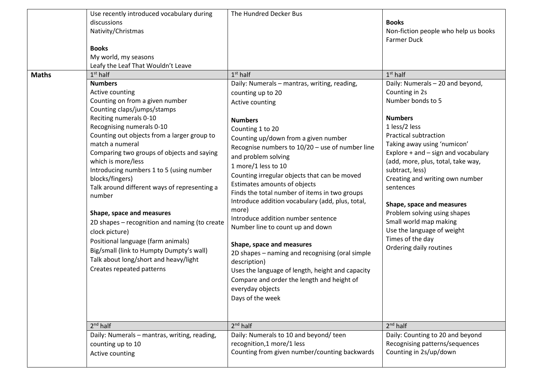|              | Use recently introduced vocabulary during<br>discussions<br>Nativity/Christmas<br><b>Books</b><br>My world, my seasons<br>Leafy the Leaf That Wouldn't Leave                                                                                                                                                                                                                                                                                                                                                                                                                                                                                                                                    | The Hundred Decker Bus                                                                                                                                                                                                                                                                                                                                                                                                                                                                                                                                                                                                                                                                                                                                                                              | <b>Books</b><br>Non-fiction people who help us books<br><b>Farmer Duck</b>                                                                                                                                                                                                                                                                                                                                                                                                                                      |
|--------------|-------------------------------------------------------------------------------------------------------------------------------------------------------------------------------------------------------------------------------------------------------------------------------------------------------------------------------------------------------------------------------------------------------------------------------------------------------------------------------------------------------------------------------------------------------------------------------------------------------------------------------------------------------------------------------------------------|-----------------------------------------------------------------------------------------------------------------------------------------------------------------------------------------------------------------------------------------------------------------------------------------------------------------------------------------------------------------------------------------------------------------------------------------------------------------------------------------------------------------------------------------------------------------------------------------------------------------------------------------------------------------------------------------------------------------------------------------------------------------------------------------------------|-----------------------------------------------------------------------------------------------------------------------------------------------------------------------------------------------------------------------------------------------------------------------------------------------------------------------------------------------------------------------------------------------------------------------------------------------------------------------------------------------------------------|
| <b>Maths</b> | $1st$ half<br><b>Numbers</b><br>Active counting<br>Counting on from a given number<br>Counting claps/jumps/stamps<br>Reciting numerals 0-10<br>Recognising numerals 0-10<br>Counting out objects from a larger group to<br>match a numeral<br>Comparing two groups of objects and saying<br>which is more/less<br>Introducing numbers 1 to 5 (using number<br>blocks/fingers)<br>Talk around different ways of representing a<br>number<br>Shape, space and measures<br>2D shapes - recognition and naming (to create<br>clock picture)<br>Positional language (farm animals)<br>Big/small (link to Humpty Dumpty's wall)<br>Talk about long/short and heavy/light<br>Creates repeated patterns | $1st$ half<br>Daily: Numerals - mantras, writing, reading,<br>counting up to 20<br>Active counting<br><b>Numbers</b><br>Counting 1 to 20<br>Counting up/down from a given number<br>Recognise numbers to 10/20 - use of number line<br>and problem solving<br>1 more/1 less to 10<br>Counting irregular objects that can be moved<br>Estimates amounts of objects<br>Finds the total number of items in two groups<br>Introduce addition vocabulary (add, plus, total,<br>more)<br>Introduce addition number sentence<br>Number line to count up and down<br>Shape, space and measures<br>2D shapes - naming and recognising (oral simple<br>description)<br>Uses the language of length, height and capacity<br>Compare and order the length and height of<br>everyday objects<br>Days of the week | $1st$ half<br>Daily: Numerals - 20 and beyond,<br>Counting in 2s<br>Number bonds to 5<br><b>Numbers</b><br>1 less/2 less<br><b>Practical subtraction</b><br>Taking away using 'numicon'<br>Explore $+$ and $-$ sign and vocabulary<br>(add, more, plus, total, take way,<br>subtract, less)<br>Creating and writing own number<br>sentences<br>Shape, space and measures<br>Problem solving using shapes<br>Small world map making<br>Use the language of weight<br>Times of the day<br>Ordering daily routines |
|              | $2nd$ half<br>Daily: Numerals - mantras, writing, reading,<br>counting up to 10<br>Active counting                                                                                                                                                                                                                                                                                                                                                                                                                                                                                                                                                                                              | $2nd$ half<br>Daily: Numerals to 10 and beyond/ teen<br>recognition,1 more/1 less<br>Counting from given number/counting backwards                                                                                                                                                                                                                                                                                                                                                                                                                                                                                                                                                                                                                                                                  | $2nd$ half<br>Daily: Counting to 20 and beyond<br>Recognising patterns/sequences<br>Counting in 2s/up/down                                                                                                                                                                                                                                                                                                                                                                                                      |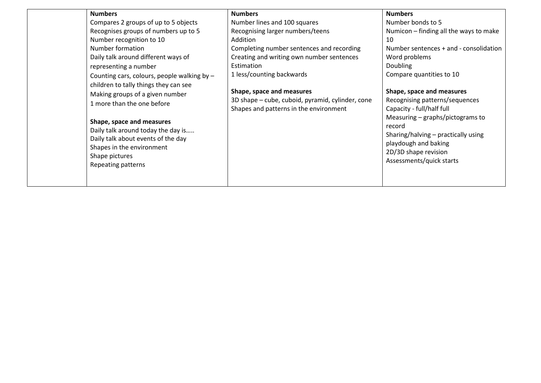| <b>Numbers</b><br>Compares 2 groups of up to 5 objects<br>Recognises groups of numbers up to 5<br>Number recognition to 10<br>Number formation<br>Daily talk around different ways of<br>representing a number<br>Counting cars, colours, people walking by -<br>children to tally things they can see<br>Making groups of a given number<br>1 more than the one before<br>Shape, space and measures<br>Daily talk around today the day is<br>Daily talk about events of the day<br>Shapes in the environment<br>Shape pictures<br>Repeating patterns | <b>Numbers</b><br>Number lines and 100 squares<br>Recognising larger numbers/teens<br>Addition<br>Completing number sentences and recording<br>Creating and writing own number sentences<br>Estimation<br>1 less/counting backwards<br>Shape, space and measures<br>3D shape – cube, cuboid, pyramid, cylinder, cone<br>Shapes and patterns in the environment | <b>Numbers</b><br>Number bonds to 5<br>Numicon - finding all the ways to make<br>10<br>Number sentences + and - consolidation<br>Word problems<br><b>Doubling</b><br>Compare quantities to 10<br>Shape, space and measures<br>Recognising patterns/sequences<br>Capacity - full/half full<br>Measuring $-$ graphs/pictograms to<br>record<br>Sharing/halving - practically using<br>playdough and baking<br>2D/3D shape revision<br>Assessments/quick starts |
|-------------------------------------------------------------------------------------------------------------------------------------------------------------------------------------------------------------------------------------------------------------------------------------------------------------------------------------------------------------------------------------------------------------------------------------------------------------------------------------------------------------------------------------------------------|----------------------------------------------------------------------------------------------------------------------------------------------------------------------------------------------------------------------------------------------------------------------------------------------------------------------------------------------------------------|--------------------------------------------------------------------------------------------------------------------------------------------------------------------------------------------------------------------------------------------------------------------------------------------------------------------------------------------------------------------------------------------------------------------------------------------------------------|
|-------------------------------------------------------------------------------------------------------------------------------------------------------------------------------------------------------------------------------------------------------------------------------------------------------------------------------------------------------------------------------------------------------------------------------------------------------------------------------------------------------------------------------------------------------|----------------------------------------------------------------------------------------------------------------------------------------------------------------------------------------------------------------------------------------------------------------------------------------------------------------------------------------------------------------|--------------------------------------------------------------------------------------------------------------------------------------------------------------------------------------------------------------------------------------------------------------------------------------------------------------------------------------------------------------------------------------------------------------------------------------------------------------|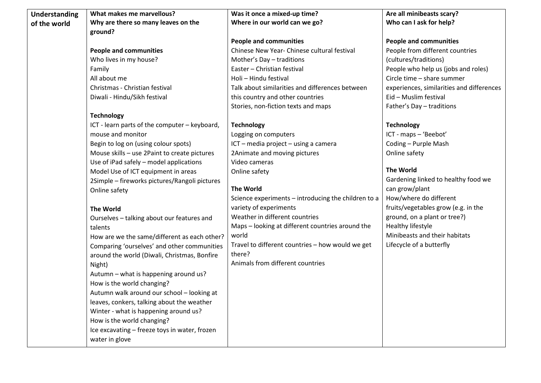| <b>Understanding</b> | What makes me marvellous?                     | Was it once a mixed-up time?                        | Are all minibeasts scary?                 |
|----------------------|-----------------------------------------------|-----------------------------------------------------|-------------------------------------------|
| of the world         | Why are there so many leaves on the           | Where in our world can we go?                       | Who can I ask for help?                   |
|                      | ground?                                       |                                                     |                                           |
|                      |                                               | <b>People and communities</b>                       | <b>People and communities</b>             |
|                      | <b>People and communities</b>                 | Chinese New Year- Chinese cultural festival         | People from different countries           |
|                      | Who lives in my house?                        | Mother's Day - traditions                           | (cultures/traditions)                     |
|                      | Family                                        | Easter - Christian festival                         | People who help us (jobs and roles)       |
|                      | All about me                                  | Holi - Hindu festival                               | Circle time - share summer                |
|                      | Christmas - Christian festival                | Talk about similarities and differences between     | experiences, similarities and differences |
|                      | Diwali - Hindu/Sikh festival                  | this country and other countries                    | Eid - Muslim festival                     |
|                      |                                               | Stories, non-fiction texts and maps                 | Father's Day - traditions                 |
|                      | <b>Technology</b>                             |                                                     |                                           |
|                      | ICT - learn parts of the computer - keyboard, | <b>Technology</b>                                   | <b>Technology</b>                         |
|                      | mouse and monitor                             | Logging on computers                                | ICT - maps - 'Beebot'                     |
|                      | Begin to log on (using colour spots)          | ICT - media project - using a camera                | Coding - Purple Mash                      |
|                      | Mouse skills - use 2Paint to create pictures  | 2Animate and moving pictures                        | Online safety                             |
|                      | Use of iPad safely - model applications       | Video cameras                                       |                                           |
|                      | Model Use of ICT equipment in areas           | Online safety                                       | <b>The World</b>                          |
|                      | 2Simple - fireworks pictures/Rangoli pictures |                                                     | Gardening linked to healthy food we       |
|                      | Online safety                                 | <b>The World</b>                                    | can grow/plant                            |
|                      |                                               | Science experiments - introducing the children to a | How/where do different                    |
|                      | <b>The World</b>                              | variety of experiments                              | fruits/vegetables grow (e.g. in the       |
|                      | Ourselves - talking about our features and    | Weather in different countries                      | ground, on a plant or tree?)              |
|                      | talents                                       | Maps - looking at different countries around the    | Healthy lifestyle                         |
|                      | How are we the same/different as each other?  | world                                               | Minibeasts and their habitats             |
|                      | Comparing 'ourselves' and other communities   | Travel to different countries - how would we get    | Lifecycle of a butterfly                  |
|                      | around the world (Diwali, Christmas, Bonfire  | there?                                              |                                           |
|                      | Night)                                        | Animals from different countries                    |                                           |
|                      | Autumn - what is happening around us?         |                                                     |                                           |
|                      | How is the world changing?                    |                                                     |                                           |
|                      | Autumn walk around our school - looking at    |                                                     |                                           |
|                      | leaves, conkers, talking about the weather    |                                                     |                                           |
|                      | Winter - what is happening around us?         |                                                     |                                           |
|                      | How is the world changing?                    |                                                     |                                           |
|                      | Ice excavating - freeze toys in water, frozen |                                                     |                                           |
|                      | water in glove                                |                                                     |                                           |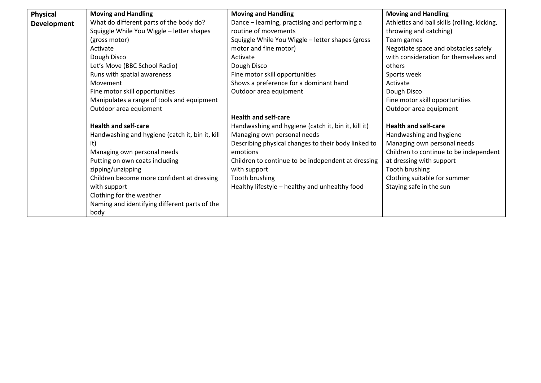| <b>Physical</b>    | <b>Moving and Handling</b>                      | <b>Moving and Handling</b>                          | <b>Moving and Handling</b>                   |
|--------------------|-------------------------------------------------|-----------------------------------------------------|----------------------------------------------|
| <b>Development</b> | What do different parts of the body do?         | Dance – learning, practising and performing a       | Athletics and ball skills (rolling, kicking, |
|                    | Squiggle While You Wiggle - letter shapes       | routine of movements                                | throwing and catching)                       |
|                    | (gross motor)                                   | Squiggle While You Wiggle - letter shapes (gross    | Team games                                   |
|                    | Activate                                        | motor and fine motor)                               | Negotiate space and obstacles safely         |
|                    | Dough Disco                                     | Activate                                            | with consideration for themselves and        |
|                    | Let's Move (BBC School Radio)                   | Dough Disco                                         | others                                       |
|                    | Runs with spatial awareness                     | Fine motor skill opportunities                      | Sports week                                  |
|                    | Movement                                        | Shows a preference for a dominant hand              | Activate                                     |
|                    | Fine motor skill opportunities                  | Outdoor area equipment                              | Dough Disco                                  |
|                    | Manipulates a range of tools and equipment      |                                                     | Fine motor skill opportunities               |
|                    | Outdoor area equipment                          |                                                     | Outdoor area equipment                       |
|                    |                                                 | <b>Health and self-care</b>                         |                                              |
|                    | <b>Health and self-care</b>                     | Handwashing and hygiene (catch it, bin it, kill it) | <b>Health and self-care</b>                  |
|                    | Handwashing and hygiene (catch it, bin it, kill | Managing own personal needs                         | Handwashing and hygiene                      |
|                    | it)                                             | Describing physical changes to their body linked to | Managing own personal needs                  |
|                    | Managing own personal needs                     | emotions                                            | Children to continue to be independent       |
|                    | Putting on own coats including                  | Children to continue to be independent at dressing  | at dressing with support                     |
|                    | zipping/unzipping                               | with support                                        | Tooth brushing                               |
|                    | Children become more confident at dressing      | Tooth brushing                                      | Clothing suitable for summer                 |
|                    | with support                                    | Healthy lifestyle - healthy and unhealthy food      | Staying safe in the sun                      |
|                    | Clothing for the weather                        |                                                     |                                              |
|                    | Naming and identifying different parts of the   |                                                     |                                              |
|                    | body                                            |                                                     |                                              |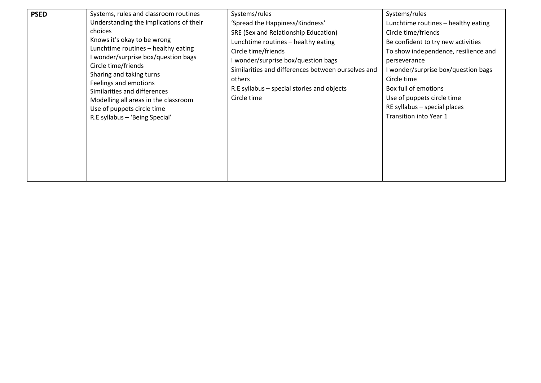| <b>PSED</b> | Systems, rules and classroom routines<br>Understanding the implications of their<br>choices<br>Knows it's okay to be wrong<br>Lunchtime routines - healthy eating<br>I wonder/surprise box/question bags<br>Circle time/friends<br>Sharing and taking turns<br>Feelings and emotions<br>Similarities and differences<br>Modelling all areas in the classroom<br>Use of puppets circle time<br>R.E syllabus - 'Being Special' | Systems/rules<br>'Spread the Happiness/Kindness'<br>SRE (Sex and Relationship Education)<br>Lunchtime routines - healthy eating<br>Circle time/friends<br>wonder/surprise box/question bags<br>Similarities and differences between ourselves and<br>others<br>R.E syllabus – special stories and objects<br>Circle time | Systems/rules<br>Lunchtime routines - healthy eating<br>Circle time/friends<br>Be confident to try new activities<br>To show independence, resilience and<br>perseverance<br>I wonder/surprise box/question bags<br>Circle time<br>Box full of emotions<br>Use of puppets circle time<br>RE syllabus - special places<br>Transition into Year 1 |
|-------------|------------------------------------------------------------------------------------------------------------------------------------------------------------------------------------------------------------------------------------------------------------------------------------------------------------------------------------------------------------------------------------------------------------------------------|--------------------------------------------------------------------------------------------------------------------------------------------------------------------------------------------------------------------------------------------------------------------------------------------------------------------------|-------------------------------------------------------------------------------------------------------------------------------------------------------------------------------------------------------------------------------------------------------------------------------------------------------------------------------------------------|
|-------------|------------------------------------------------------------------------------------------------------------------------------------------------------------------------------------------------------------------------------------------------------------------------------------------------------------------------------------------------------------------------------------------------------------------------------|--------------------------------------------------------------------------------------------------------------------------------------------------------------------------------------------------------------------------------------------------------------------------------------------------------------------------|-------------------------------------------------------------------------------------------------------------------------------------------------------------------------------------------------------------------------------------------------------------------------------------------------------------------------------------------------|